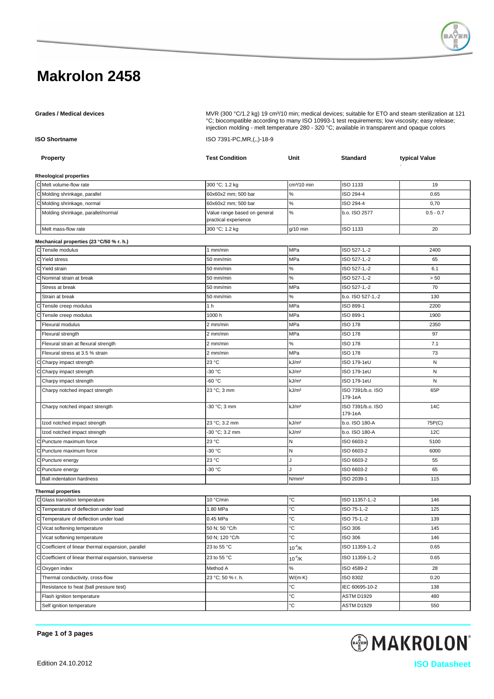# **Makrolon 2458**

Grades / Medical devices **Multiple and State Comedia Com** MVR (300 °C/1.2 kg) 19 cm<sup>3</sup>/10 min; medical devices; suitable for ETO and steam sterilization at 121 °C; biocompatible according to many ISO 10993-1 test requirements; low viscosity; easy release; injection molding - melt temperature 280 - 320 °C; available in transparent and opaque colors

**ISO Shortname** ISO 7391-PC,MR,(,,)-18-9

|                                          | <b>Property</b>                                       | <b>Test Condition</b>                                | Unit                    | <b>Standard</b>              | typical Value |  |  |  |
|------------------------------------------|-------------------------------------------------------|------------------------------------------------------|-------------------------|------------------------------|---------------|--|--|--|
|                                          |                                                       |                                                      |                         |                              |               |  |  |  |
|                                          | Rheological properties                                |                                                      |                         |                              |               |  |  |  |
|                                          | C Melt volume-flow rate                               | 300 °C; 1.2 kg                                       | cm <sup>3</sup> /10 min | ISO 1133                     | 19            |  |  |  |
|                                          | C Molding shrinkage, parallel                         | 60x60x2 mm; 500 bar                                  | $\%$                    | ISO 294-4                    | 0.65          |  |  |  |
|                                          | C Molding shrinkage, normal                           | 60x60x2 mm; 500 bar                                  | $\%$                    | ISO 294-4                    | 0,70          |  |  |  |
|                                          | Molding shrinkage, parallel/normal                    | Value range based on general<br>practical experience | $\%$                    | b.o. ISO 2577                | $0.5 - 0.7$   |  |  |  |
|                                          | Melt mass-flow rate                                   | 300 °C; 1.2 kg                                       | $g/10$ min              | ISO 1133                     | 20            |  |  |  |
| Mechanical properties (23 °C/50 % r. h.) |                                                       |                                                      |                         |                              |               |  |  |  |
|                                          | C Tensile modulus                                     | 1 mm/min                                             | MPa                     | ISO 527-1,-2                 | 2400          |  |  |  |
|                                          | C Yield stress                                        | 50 mm/min                                            | MPa                     | ISO 527-1,-2                 | 65            |  |  |  |
|                                          | C Yield strain                                        | 50 mm/min                                            | $\%$                    | ISO 527-1,-2                 | 6.1           |  |  |  |
|                                          | C Nominal strain at break                             | 50 mm/min                                            | $\%$                    | ISO 527-1,-2                 | > 50          |  |  |  |
|                                          | Stress at break                                       | 50 mm/min                                            | MPa                     | ISO 527-1,-2                 | 70            |  |  |  |
|                                          | Strain at break                                       | 50 mm/min                                            | $\%$                    | b.o. ISO 527-1,-2            | 130           |  |  |  |
|                                          | C Tensile creep modulus                               | 1 <sub>h</sub>                                       | MPa                     | ISO 899-1                    | 2200          |  |  |  |
|                                          | CTensile creep modulus                                | 1000 h                                               | MPa                     | ISO 899-1                    | 1900          |  |  |  |
|                                          | Flexural modulus                                      | 2 mm/min                                             | MPa                     | <b>ISO 178</b>               | 2350          |  |  |  |
|                                          | Flexural strength                                     | 2 mm/min                                             | MPa                     | <b>ISO 178</b>               | 97            |  |  |  |
|                                          | Flexural strain at flexural strength                  | 2 mm/min                                             | $\%$                    | ISO 178                      | 7.1           |  |  |  |
|                                          | Flexural stress at 3.5 % strain                       | 2 mm/min                                             | MPa                     | <b>ISO 178</b>               | 73            |  |  |  |
|                                          | C Charpy impact strength                              | 23 °C                                                | kJ/m <sup>2</sup>       | ISO 179-1eU                  | N             |  |  |  |
|                                          | C Charpy impact strength                              | -30 °C                                               | kJ/m <sup>2</sup>       | ISO 179-1eU                  | ${\sf N}$     |  |  |  |
|                                          | Charpy impact strength                                | -60 °C                                               | kJ/m <sup>2</sup>       | ISO 179-1eU                  | N             |  |  |  |
|                                          | Charpy notched impact strength                        | 23 °C; 3 mm                                          | kJ/m <sup>2</sup>       | ISO 7391/b.o. ISO<br>179-1eA | 65P           |  |  |  |
|                                          | Charpy notched impact strength                        | -30 °C; 3 mm                                         | kJ/m <sup>2</sup>       | ISO 7391/b.o. ISO<br>179-1eA | 14C           |  |  |  |
|                                          | Izod notched impact strength                          | 23 °C; 3.2 mm                                        | kJ/m <sup>2</sup>       | b.o. ISO 180-A               | 75P(C)        |  |  |  |
|                                          | Izod notched impact strength                          | -30 °C; 3.2 mm                                       | kJ/m <sup>2</sup>       | b.o. ISO 180-A               | <b>12C</b>    |  |  |  |
|                                          | C Puncture maximum force                              | 23 °C                                                | $\mathsf{N}$            | ISO 6603-2                   | 5100          |  |  |  |
|                                          | C Puncture maximum force                              | -30 °C                                               | ${\sf N}$               | ISO 6603-2                   | 6000          |  |  |  |
|                                          | C Puncture energy                                     | 23 °C                                                | J                       | ISO 6603-2                   | 55            |  |  |  |
|                                          | C Puncture energy                                     | -30 °C                                               | $\cdot$                 | ISO 6603-2                   | 65            |  |  |  |
|                                          | <b>Ball indentation hardness</b>                      |                                                      | N/mm <sup>2</sup>       | ISO 2039-1                   | 115           |  |  |  |
|                                          | <b>Thermal properties</b>                             |                                                      |                         |                              |               |  |  |  |
|                                          | C Glass transition temperature                        | 10 °C/min                                            | °C                      | ISO 11357-1,-2               | 146           |  |  |  |
|                                          | C Temperature of deflection under load                | 1.80 MPa                                             | °С                      | ISO 75-1,-2                  | 125           |  |  |  |
|                                          | C Temperature of deflection under load                | 0.45 MPa                                             | °С                      | ISO 75-1,-2                  | 139           |  |  |  |
|                                          | C Vicat softening temperature                         | 50 N; 50 °C/h                                        | °C                      | ISO 306                      | 145           |  |  |  |
|                                          | Vicat softening temperature                           | 50 N; 120 °C/h                                       | ۴С                      | ISO 306                      | 146           |  |  |  |
|                                          | C Coefficient of linear thermal expansion, parallel   | 23 to 55 °C                                          | $10^{-4}$ /K            | ISO 11359-1,-2               | 0.65          |  |  |  |
|                                          | C Coefficient of linear thermal expansion, transverse | 23 to 55 °C                                          | $10^{-4}$ /K            | ISO 11359-1,-2               | 0.65          |  |  |  |
|                                          | COxygen index                                         | Method A                                             | $\%$                    | ISO 4589-2                   | 28            |  |  |  |
|                                          | Thermal conductivity, cross-flow                      | 23 °C; 50 % r. h.                                    | $W/(m \cdot K)$         | ISO 8302                     | 0.20          |  |  |  |
|                                          | Resistance to heat (ball pressure test)               |                                                      | °С                      | IEC 60695-10-2               | 138           |  |  |  |
|                                          | Flash ignition temperature                            |                                                      | °C                      | ASTM D1929                   | 480           |  |  |  |
|                                          | Self ignition temperature                             |                                                      | ۴С                      | ASTM D1929                   | 550           |  |  |  |

**Page 1 of 3 pages**

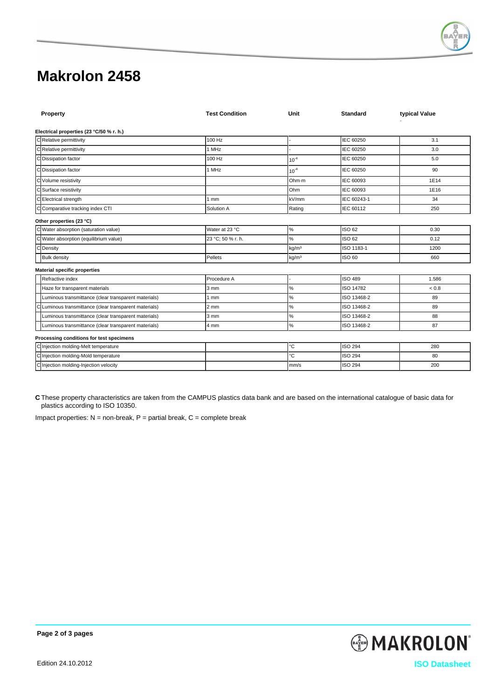

# **Makrolon 2458**

| Property                                               | <b>Test Condition</b> | Unit              | <b>Standard</b> | typical Value |
|--------------------------------------------------------|-----------------------|-------------------|-----------------|---------------|
| Electrical properties (23 °C/50 % r. h.)               |                       |                   |                 |               |
| CRelative permittivity                                 | 100 Hz                |                   | IEC 60250       | 3.1           |
| C Relative permittivity                                | 1 MHz                 |                   | IEC 60250       | 3.0           |
| C Dissipation factor                                   | 100 Hz                | $10^{-4}$         | IEC 60250       | 5.0           |
| C Dissipation factor                                   | 1 MHz                 | $10^{-4}$         | IEC 60250       | 90            |
| C Volume resistivity                                   |                       | Ohm-m             | IEC 60093       | 1E14          |
| C Surface resistivity                                  |                       | Ohm               | IEC 60093       | 1E16          |
| CElectrical strength                                   | 1 <sub>mm</sub>       | kV/mm             | IEC 60243-1     | 34            |
| C Comparative tracking index CTI                       | Solution A            | Rating            | IEC 60112       | 250           |
| Other properties (23 °C)                               |                       |                   |                 |               |
| C Water absorption (saturation value)                  | Water at 23 °C        | $\%$              | ISO 62          | 0.30          |
| C Water absorption (equilibrium value)                 | 23 °C: 50 % r. h.     | $\%$              | ISO 62          | 0.12          |
| C Density                                              |                       | kq/m <sup>3</sup> | ISO 1183-1      | 1200          |
| <b>Bulk density</b>                                    | Pellets               | kg/m <sup>3</sup> | <b>ISO 60</b>   | 660           |
| <b>Material specific properties</b>                    |                       |                   |                 |               |
| Refractive index                                       | Procedure A           |                   | ISO 489         | 1.586         |
| Haze for transparent materials                         | $3 \text{ mm}$        | $\%$              | ISO 14782       | ${}_{0.8}$    |
| Luminous transmittance (clear transparent materials)   | 1 <sub>mm</sub>       | $\%$              | ISO 13468-2     | 89            |
| C Luminous transmittance (clear transparent materials) | $2 \text{ mm}$        | $\%$              | ISO 13468-2     | 89            |
| Luminous transmittance (clear transparent materials)   | $3 \text{ mm}$        | $\%$              | ISO 13468-2     | 88            |
| Luminous transmittance (clear transparent materials)   | 4 mm                  | $\%$              | ISO 13468-2     | 87            |
| Processing conditions for test specimens               |                       |                   |                 |               |
| C Injection molding-Melt temperature                   |                       | °C                | <b>ISO 294</b>  | 280           |
| C Injection molding-Mold temperature                   |                       | Ĉ                 | <b>ISO 294</b>  | 80            |
| C Injection molding-Injection velocity                 |                       | mm/s              | <b>ISO 294</b>  | 200           |

**C** These property characteristics are taken from the CAMPUS plastics data bank and are based on the international catalogue of basic data for plastics according to ISO 10350.

Impact properties:  $N =$  non-break,  $P =$  partial break,  $C =$  complete break

**MAKROLON** Edition 24.10.2012 **ISO Datasheet**